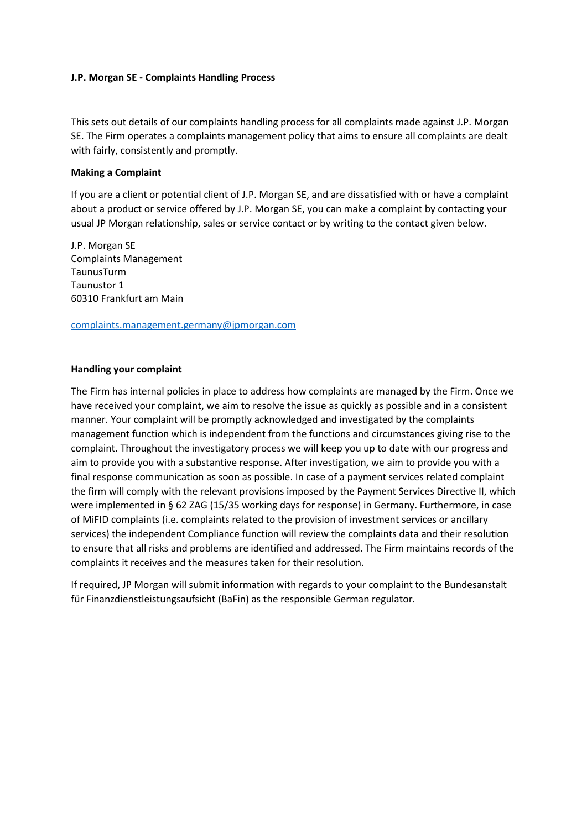## **J.P. Morgan SE - Complaints Handling Process**

This sets out details of our complaints handling process for all complaints made against J.P. Morgan SE. The Firm operates a complaints management policy that aims to ensure all complaints are dealt with fairly, consistently and promptly.

## **Making a Complaint**

If you are a client or potential client of J.P. Morgan SE, and are dissatisfied with or have a complaint about a product or service offered by J.P. Morgan SE, you can make a complaint by contacting your usual JP Morgan relationship, sales or service contact or by writing to the contact given below.

J.P. Morgan SE Complaints Management TaunusTurm Taunustor 1 60310 Frankfurt am Main

[complaints.management.germany@jpmorgan.com](mailto:complaints.management.germany@jpmorgan.com)

## **Handling your complaint**

The Firm has internal policies in place to address how complaints are managed by the Firm. Once we have received your complaint, we aim to resolve the issue as quickly as possible and in a consistent manner. Your complaint will be promptly acknowledged and investigated by the complaints management function which is independent from the functions and circumstances giving rise to the complaint. Throughout the investigatory process we will keep you up to date with our progress and aim to provide you with a substantive response. After investigation, we aim to provide you with a final response communication as soon as possible. In case of a payment services related complaint the firm will comply with the relevant provisions imposed by the Payment Services Directive II, which were implemented in § 62 ZAG (15/35 working days for response) in Germany. Furthermore, in case of MiFID complaints (i.e. complaints related to the provision of investment services or ancillary services) the independent Compliance function will review the complaints data and their resolution to ensure that all risks and problems are identified and addressed. The Firm maintains records of the complaints it receives and the measures taken for their resolution.

If required, JP Morgan will submit information with regards to your complaint to the Bundesanstalt für Finanzdienstleistungsaufsicht (BaFin) as the responsible German regulator.